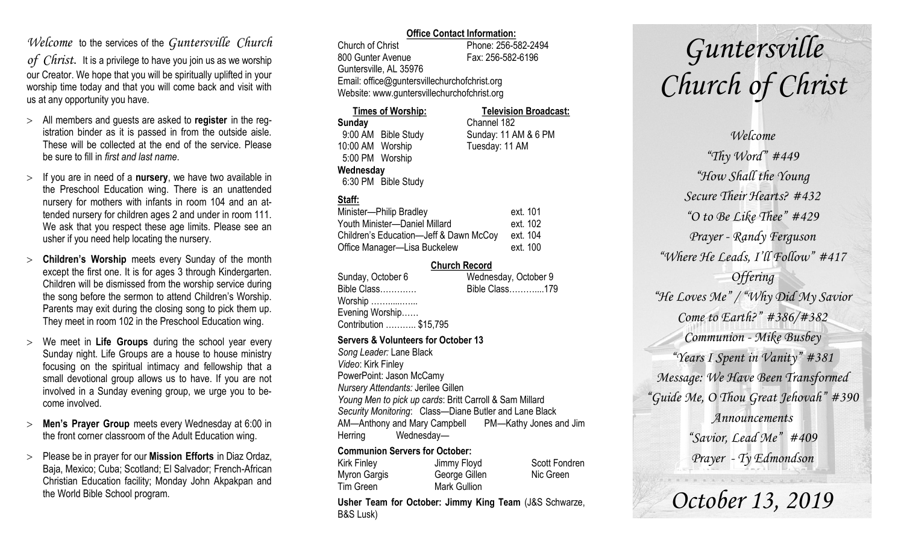### *Welcome* to the services of the *Guntersville Church*

*of Christ*. It is a privilege to have you join us as we worship our Creator. We hope that you will be spiritually uplifted in your worship time today and that you will come back and visit with us at any opportunity you have.

- All members and guests are asked to **register** in the registration binder as it is passed in from the outside aisle. These will be collected at the end of the service. Please be sure to fill in *first and last name*.
- $>$  If you are in need of a **nursery**, we have two available in the Preschool Education wing. There is an unattended nursery for mothers with infants in room 104 and an attended nursery for children ages 2 and under in room 111. We ask that you respect these age limits. Please see an usher if you need help locating the nursery.
- **Children's Worship** meets every Sunday of the month except the first one. It is for ages 3 through Kindergarten. Children will be dismissed from the worship service during the song before the sermon to attend Children's Worship. Parents may exit during the closing song to pick them up. They meet in room 102 in the Preschool Education wing.
- We meet in **Life Groups** during the school year every Sunday night. Life Groups are a house to house ministry focusing on the spiritual intimacy and fellowship that a small devotional group allows us to have. If you are not involved in a Sunday evening group, we urge you to become involved.
- **Men's Prayer Group** meets every Wednesday at 6:00 in the front corner classroom of the Adult Education wing.
- Please be in prayer for our **Mission Efforts** in Diaz Ordaz, Baja, Mexico; Cuba; Scotland; El Salvador; French-African Christian Education facility; Monday John Akpakpan and the World Bible School program.

### **Office Contact Information:**

Church of Christ Phone: 256-582-2494 800 Gunter Avenue Fax: 256-582-6196 Guntersville, AL 35976 Email: office@guntersvillechurchofchrist.org Website: www.guntersvillechurchofchrist.org

| <b>Times of Worship:</b> |                     | <b>Television Broadcast:</b> |  |
|--------------------------|---------------------|------------------------------|--|
| Sunday                   |                     | Channel 182                  |  |
|                          | 9:00 AM Bible Study | Sunday: 11 AM & 6 PM         |  |
| 10:00 AM Worship         |                     | Tuesday: 11 AM               |  |
| 5:00 PM Worship          |                     |                              |  |
| Wednesday                |                     |                              |  |
|                          | 6:30 PM Bible Study |                              |  |

### **Staff:**

| Minister-Philip Bradley                | ext. 101 |
|----------------------------------------|----------|
| Youth Minister-Daniel Millard          | ext. 102 |
| Children's Education-Jeff & Dawn McCoy | ext. 104 |
| Office Manager-Lisa Buckelew           | ext. 100 |

### **Church Record**

| Sunday, October 6                  | Wednesday, October 9 |
|------------------------------------|----------------------|
| Bible Class                        | Bible Class179       |
| Worship                            |                      |
| Evening Worship                    |                      |
| Contribution  \$15,795             |                      |
| $\bullet$ and the set of $\bullet$ |                      |

### **Servers & Volunteers for October 13**

*Song Leader:* Lane Black *Video*: Kirk Finley PowerPoint: Jason McCamy *Nursery Attendants:* Jerilee Gillen *Young Men to pick up cards*: Britt Carroll & Sam Millard *Security Monitoring*: Class—Diane Butler and Lane Black AM—Anthony and Mary Campbell PM—Kathy Jones and Jim Herring Wednesday—

### **Communion Servers for October:**

Kirk Finley **Jimmy Floyd** Scott Fondren Myron Gargis George Gillen Nic Green Tim Green Mark Gullion

**Usher Team for October: Jimmy King Team** (J&S Schwarze, B&S Lusk)

# *Guntersville Church of Christ*

*Welcome "Thy Word" #449 "How Shall the Young Secure Their Hearts? #432 "O to Be Like Thee" #429 Prayer - Randy Ferguson "Where He Leads, I'll Follow" #417 Offering "He Loves Me" / "Why Did My Savior Come to Earth?" #386/#382 Communion - Mike Busbey "Years I Spent in Vanity" #381 Message: We Have Been Transformed "Guide Me, O Thou Great Jehovah" #390 Announcements "Savior, Lead Me" #409 Prayer - Ty Edmondson*

*October 13, 2019*